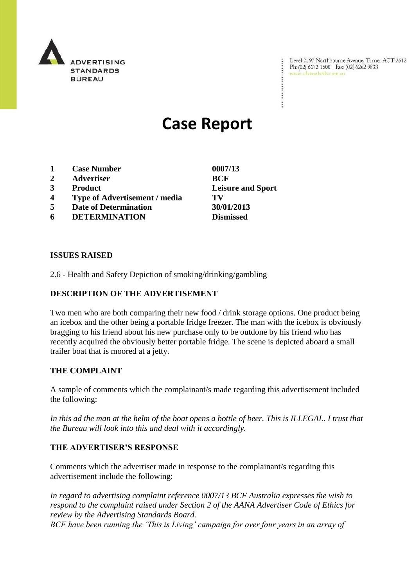

Level 2, 97 Northbourne Avenue, Turner ACT 2612 Ph: (02) 6173 1500 | Fax: (02) 6262 9833 www.adstandards.com.au

# **Case Report**

- **1 Case Number 0007/13**
- **2 Advertiser BCF**
- 
- **4 Type of Advertisement / media TV**
- **5 Date of Determination 30/01/2013**
- **6 DETERMINATION Dismissed**

**ISSUES RAISED**

2.6 - Health and Safety Depiction of smoking/drinking/gambling

### **DESCRIPTION OF THE ADVERTISEMENT**

Two men who are both comparing their new food / drink storage options. One product being an icebox and the other being a portable fridge freezer. The man with the icebox is obviously bragging to his friend about his new purchase only to be outdone by his friend who has recently acquired the obviously better portable fridge. The scene is depicted aboard a small trailer boat that is moored at a jetty.

#### **THE COMPLAINT**

A sample of comments which the complainant/s made regarding this advertisement included the following:

In this ad the man at the helm of the boat opens a bottle of beer. This is ILLEGAL. I trust that *the Bureau will look into this and deal with it accordingly.*

#### **THE ADVERTISER'S RESPONSE**

Comments which the advertiser made in response to the complainant/s regarding this advertisement include the following:

*In regard to advertising complaint reference 0007/13 BCF Australia expresses the wish to respond to the complaint raised under Section 2 of the AANA Advertiser Code of Ethics for review by the Advertising Standards Board.*

*BCF have been running the 'This is Living' campaign for over four years in an array of* 

**3 Product Leisure and Sport**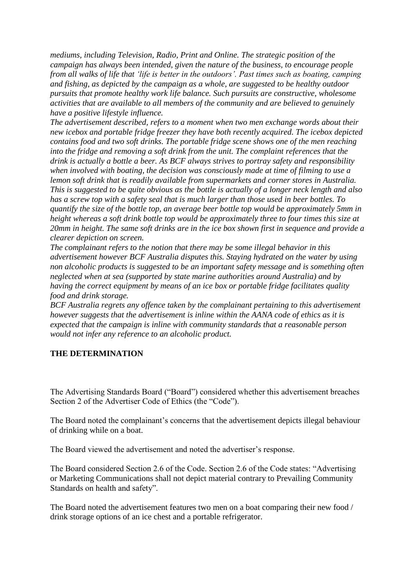*mediums, including Television, Radio, Print and Online. The strategic position of the campaign has always been intended, given the nature of the business, to encourage people from all walks of life that 'life is better in the outdoors'. Past times such as boating, camping and fishing, as depicted by the campaign as a whole, are suggested to be healthy outdoor pursuits that promote healthy work life balance. Such pursuits are constructive, wholesome activities that are available to all members of the community and are believed to genuinely have a positive lifestyle influence.*

*The advertisement described, refers to a moment when two men exchange words about their new icebox and portable fridge freezer they have both recently acquired. The icebox depicted contains food and two soft drinks. The portable fridge scene shows one of the men reaching into the fridge and removing a soft drink from the unit. The complaint references that the drink is actually a bottle a beer. As BCF always strives to portray safety and responsibility when involved with boating, the decision was consciously made at time of filming to use a lemon soft drink that is readily available from supermarkets and corner stores in Australia. This is suggested to be quite obvious as the bottle is actually of a longer neck length and also has a screw top with a safety seal that is much larger than those used in beer bottles. To quantify the size of the bottle top, an average beer bottle top would be approximately 5mm in height whereas a soft drink bottle top would be approximately three to four times this size at 20mm in height. The same soft drinks are in the ice box shown first in sequence and provide a clearer depiction on screen.*

*The complainant refers to the notion that there may be some illegal behavior in this advertisement however BCF Australia disputes this. Staying hydrated on the water by using non alcoholic products is suggested to be an important safety message and is something often neglected when at sea (supported by state marine authorities around Australia) and by having the correct equipment by means of an ice box or portable fridge facilitates quality food and drink storage.*

*BCF Australia regrets any offence taken by the complainant pertaining to this advertisement however suggests that the advertisement is inline within the AANA code of ethics as it is expected that the campaign is inline with community standards that a reasonable person would not infer any reference to an alcoholic product.*

## **THE DETERMINATION**

The Advertising Standards Board ("Board") considered whether this advertisement breaches Section 2 of the Advertiser Code of Ethics (the "Code").

The Board noted the complainant's concerns that the advertisement depicts illegal behaviour of drinking while on a boat.

The Board viewed the advertisement and noted the advertiser's response.

The Board considered Section 2.6 of the Code. Section 2.6 of the Code states: "Advertising or Marketing Communications shall not depict material contrary to Prevailing Community Standards on health and safety".

The Board noted the advertisement features two men on a boat comparing their new food / drink storage options of an ice chest and a portable refrigerator.